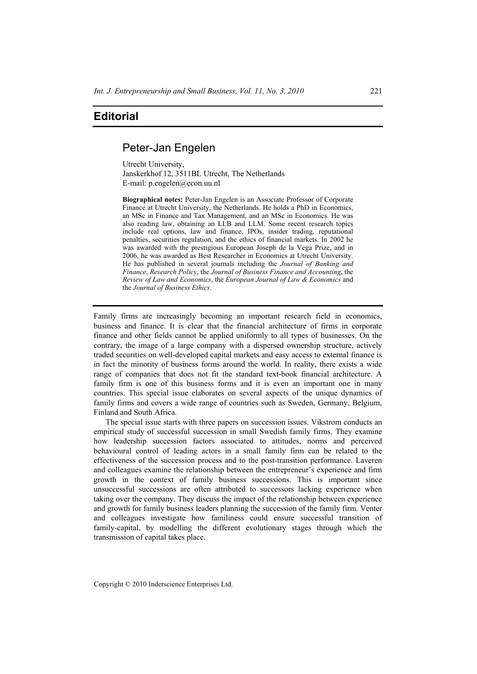## **Editorial**

## Peter-Jan Engelen

Utrecht University, Janskerkhof 12, 3511BL Utrecht, The Netherlands E-mail: p.engelen@econ.uu.nl

**Biographical notes:** Peter-Jan Engelen is an Associate Professor of Corporate Finance at Utrecht University, the Netherlands. He holds a PhD in Economics, an MSc in Finance and Tax Management, and an MSc in Economics. He was also reading law, obtaining an LLB and LLM. Some recent research topics include real options, law and finance, IPOs, insider trading, reputational penalties, securities regulation, and the ethics of financial markets. In 2002 he was awarded with the prestigious European Joseph de la Vega Prize, and in 2006, he was awarded as Best Researcher in Economics at Utrecht University. He has published in several journals including the *Journal of Banking and Finance*, *Research Policy*, the *Journal of Business Finance and Accounting*, the *Review of Law and Economics*, the *European Journal of Law & Economics* and the *Journal of Business Ethics*.

Family firms are increasingly becoming an important research field in economics, business and finance. It is clear that the financial architecture of firms in corporate finance and other fields cannot be applied uniformly to all types of businesses. On the contrary, the image of a large company with a dispersed ownership structure, actively traded securities on well-developed capital markets and easy access to external finance is in fact the minority of business forms around the world. In reality, there exists a wide range of companies that does not fit the standard text-book financial architecture. A family firm is one of this business forms and it is even an important one in many countries. This special issue elaborates on several aspects of the unique dynamics of family firms and covers a wide range of countries such as Sweden, Germany, Belgium, Finland and South Africa.

The special issue starts with three papers on succession issues. Vikstrom conducts an empirical study of successful succession in small Swedish family firms. They examine how leadership succession factors associated to attitudes, norms and perceived behavioural control of leading actors in a small family firm can be related to the effectiveness of the succession process and to the post-transition performance. Laveren and colleagues examine the relationship between the entrepreneur's experience and firm growth in the context of family business successions. This is important since unsuccessful successions are often attributed to successors lacking experience when taking over the company. They discuss the impact of the relationship between experience and growth for family business leaders planning the succession of the family firm. Venter and colleagues investigate how familiness could ensure successful transition of family-capital, by modelling the different evolutionary stages through which the transmission of capital takes place.